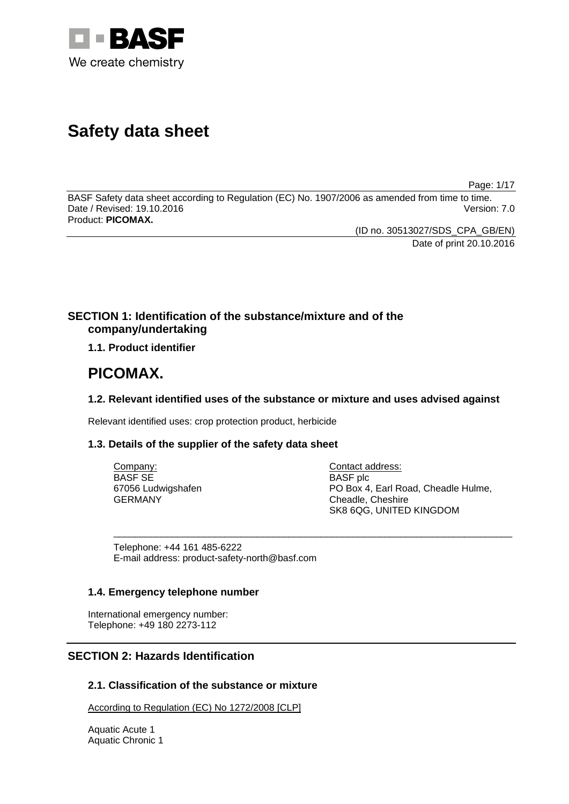

# **Safety data sheet**

Page: 1/17

BASF Safety data sheet according to Regulation (EC) No. 1907/2006 as amended from time to time. Date / Revised: 19.10.2016 Version: 7.0 Product: **PICOMAX.**

> (ID no. 30513027/SDS\_CPA\_GB/EN) Date of print 20.10.2016

### **SECTION 1: Identification of the substance/mixture and of the company/undertaking**

**1.1. Product identifier**

## **PICOMAX.**

### **1.2. Relevant identified uses of the substance or mixture and uses advised against**

Relevant identified uses: crop protection product, herbicide

### **1.3. Details of the supplier of the safety data sheet**

| Company:           | Contact address:                    |
|--------------------|-------------------------------------|
| BASF SE            | <b>BASF</b> plc                     |
| 67056 Ludwigshafen | PO Box 4, Earl Road, Cheadle Hulme, |
| GERMANY            | Cheadle, Cheshire                   |
|                    | SK8 6QG, UNITED KINGDOM             |

\_\_\_\_\_\_\_\_\_\_\_\_\_\_\_\_\_\_\_\_\_\_\_\_\_\_\_\_\_\_\_\_\_\_\_\_\_\_\_\_\_\_\_\_\_\_\_\_\_\_\_\_\_\_\_\_\_\_\_\_\_\_\_\_\_\_\_\_\_\_\_\_\_\_\_

Telephone: +44 161 485-6222 E-mail address: product-safety-north@basf.com

### **1.4. Emergency telephone number**

International emergency number: Telephone: +49 180 2273-112

### **SECTION 2: Hazards Identification**

### **2.1. Classification of the substance or mixture**

According to Regulation (EC) No 1272/2008 [CLP]

Aquatic Acute 1 Aquatic Chronic 1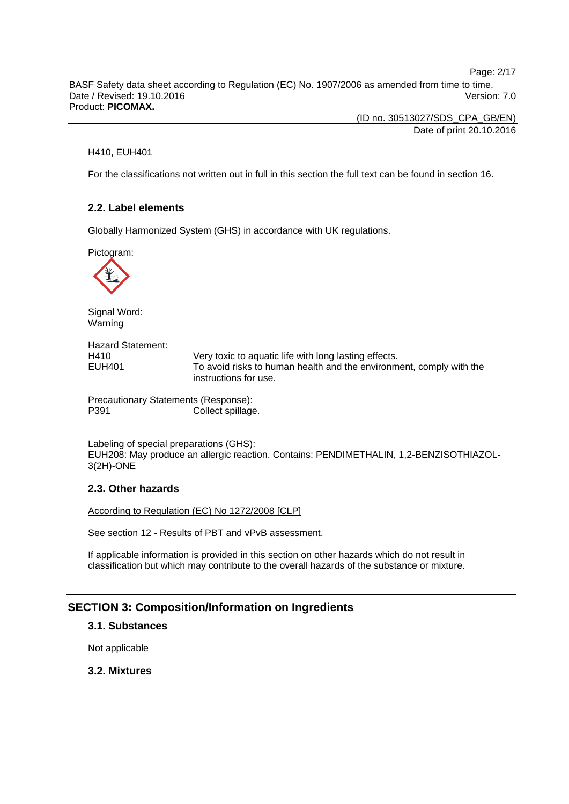Page: 2/17

BASF Safety data sheet according to Regulation (EC) No. 1907/2006 as amended from time to time. Date / Revised: 19.10.2016 **Version: 7.0** Product: **PICOMAX.**

> (ID no. 30513027/SDS\_CPA\_GB/EN) Date of print 20.10.2016

#### H410, EUH401

For the classifications not written out in full in this section the full text can be found in section 16.

### **2.2. Label elements**

Globally Harmonized System (GHS) in accordance with UK regulations.

Pictogram:



Signal Word: Warning

Hazard Statement: H410 Very toxic to aquatic life with long lasting effects. EUH401 To avoid risks to human health and the environment, comply with the instructions for use.

Precautionary Statements (Response): P391 Collect spillage.

Labeling of special preparations (GHS): EUH208: May produce an allergic reaction. Contains: PENDIMETHALIN, 1,2-BENZISOTHIAZOL-3(2H)-ONE

### **2.3. Other hazards**

According to Regulation (EC) No 1272/2008 [CLP]

See section 12 - Results of PBT and vPvB assessment.

If applicable information is provided in this section on other hazards which do not result in classification but which may contribute to the overall hazards of the substance or mixture.

### **SECTION 3: Composition/Information on Ingredients**

### **3.1. Substances**

Not applicable

### **3.2. Mixtures**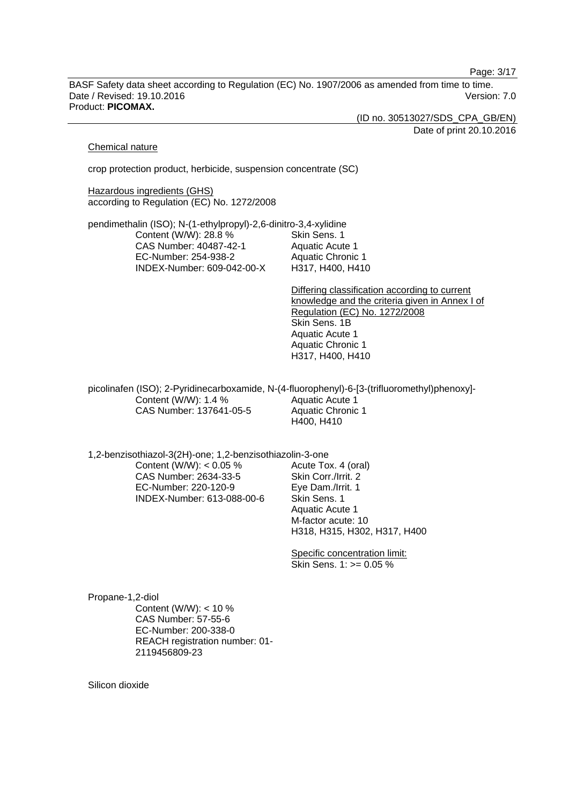Page: 3/17

BASF Safety data sheet according to Regulation (EC) No. 1907/2006 as amended from time to time. Date / Revised: 19.10.2016 **Version: 7.0** Product: **PICOMAX.**

(ID no. 30513027/SDS\_CPA\_GB/EN)

Date of print 20.10.2016

#### Chemical nature

crop protection product, herbicide, suspension concentrate (SC)

Hazardous ingredients (GHS) according to Regulation (EC) No. 1272/2008

pendimethalin (ISO); N-(1-ethylpropyl)-2,6-dinitro-3,4-xylidine Content (W/W): 28.8 % CAS Number: 40487-42-1 EC-Number: 254-938-2 INDEX-Number: 609-042-00-X Skin Sens. 1 Aquatic Acute 1 Aquatic Chronic 1 H317, H400, H410

> Differing classification according to current knowledge and the criteria given in Annex I of Regulation (EC) No. 1272/2008 Skin Sens. 1B Aquatic Acute 1 Aquatic Chronic 1 H317, H400, H410

picolinafen (ISO); 2-Pyridinecarboxamide, N-(4-fluorophenyl)-6-[3-(trifluoromethyl)phenoxy]- Content (W/W): 1.4 % CAS Number: 137641-05-5 Aquatic Acute 1 Aquatic Chronic 1 H400, H410

1,2-benzisothiazol-3(2H)-one; 1,2-benzisothiazolin-3-one

Content (W/W):  $< 0.05$  % CAS Number: 2634-33-5 EC-Number: 220-120-9 INDEX-Number: 613-088-00-6 Acute Tox. 4 (oral) Skin Corr./Irrit. 2 Eye Dam./Irrit. 1 Skin Sens. 1 Aquatic Acute 1 M-factor acute: 10 H318, H315, H302, H317, H400

Specific concentration limit: Skin Sens. 1: >= 0.05 %

Propane-1,2-diol Content (W/W): < 10 % CAS Number: 57-55-6 EC-Number: 200-338-0 REACH registration number: 01- 2119456809-23

Silicon dioxide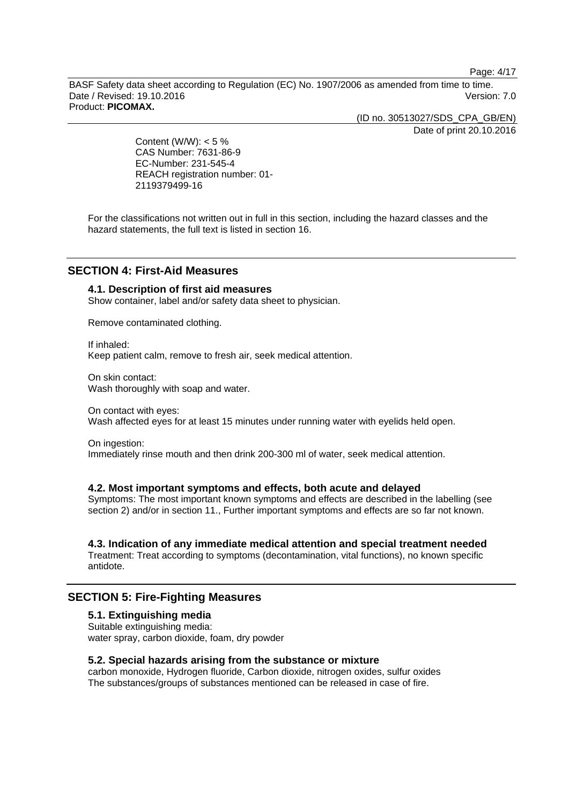Page: 4/17

BASF Safety data sheet according to Regulation (EC) No. 1907/2006 as amended from time to time. Date / Revised: 19.10.2016 **Version: 7.0** Product: **PICOMAX.**

(ID no. 30513027/SDS\_CPA\_GB/EN)

Date of print 20.10.2016

Content (W/W):  $< 5 \%$ CAS Number: 7631-86-9 EC-Number: 231-545-4 REACH registration number: 01- 2119379499-16

For the classifications not written out in full in this section, including the hazard classes and the hazard statements, the full text is listed in section 16.

### **SECTION 4: First-Aid Measures**

### **4.1. Description of first aid measures**

Show container, label and/or safety data sheet to physician.

Remove contaminated clothing.

If inhaled: Keep patient calm, remove to fresh air, seek medical attention.

On skin contact: Wash thoroughly with soap and water.

On contact with eyes: Wash affected eyes for at least 15 minutes under running water with eyelids held open.

On ingestion: Immediately rinse mouth and then drink 200-300 ml of water, seek medical attention.

#### **4.2. Most important symptoms and effects, both acute and delayed**

Symptoms: The most important known symptoms and effects are described in the labelling (see section 2) and/or in section 11., Further important symptoms and effects are so far not known.

### **4.3. Indication of any immediate medical attention and special treatment needed**

Treatment: Treat according to symptoms (decontamination, vital functions), no known specific antidote.

### **SECTION 5: Fire-Fighting Measures**

#### **5.1. Extinguishing media**

Suitable extinguishing media: water spray, carbon dioxide, foam, dry powder

#### **5.2. Special hazards arising from the substance or mixture**

carbon monoxide, Hydrogen fluoride, Carbon dioxide, nitrogen oxides, sulfur oxides The substances/groups of substances mentioned can be released in case of fire.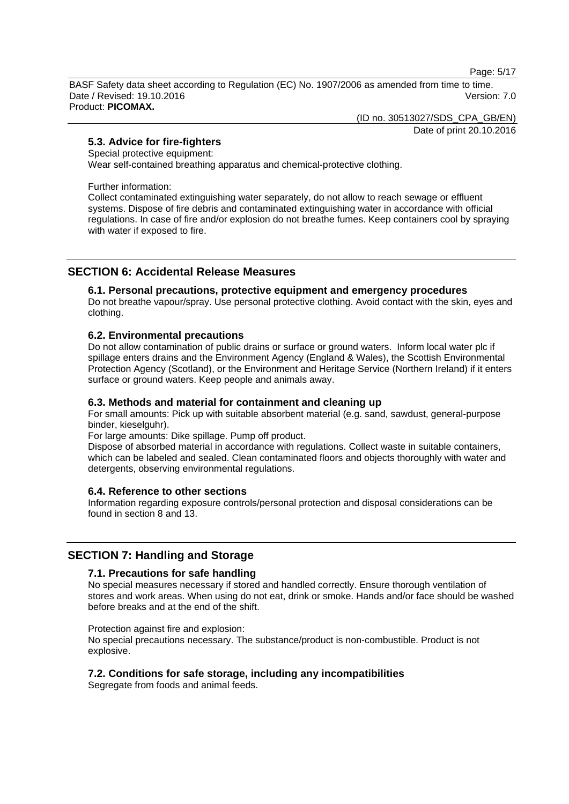Page: 5/17

BASF Safety data sheet according to Regulation (EC) No. 1907/2006 as amended from time to time. Date / Revised: 19.10.2016 Version: 7.0 Product: **PICOMAX.**

(ID no. 30513027/SDS\_CPA\_GB/EN)

Date of print 20.10.2016

### **5.3. Advice for fire-fighters**

#### Special protective equipment:

Wear self-contained breathing apparatus and chemical-protective clothing.

Further information:

Collect contaminated extinguishing water separately, do not allow to reach sewage or effluent systems. Dispose of fire debris and contaminated extinguishing water in accordance with official regulations. In case of fire and/or explosion do not breathe fumes. Keep containers cool by spraying with water if exposed to fire.

### **SECTION 6: Accidental Release Measures**

### **6.1. Personal precautions, protective equipment and emergency procedures**

Do not breathe vapour/spray. Use personal protective clothing. Avoid contact with the skin, eyes and clothing.

#### **6.2. Environmental precautions**

Do not allow contamination of public drains or surface or ground waters. Inform local water plc if spillage enters drains and the Environment Agency (England & Wales), the Scottish Environmental Protection Agency (Scotland), or the Environment and Heritage Service (Northern Ireland) if it enters surface or ground waters. Keep people and animals away.

### **6.3. Methods and material for containment and cleaning up**

For small amounts: Pick up with suitable absorbent material (e.g. sand, sawdust, general-purpose binder, kieselguhr).

For large amounts: Dike spillage. Pump off product.

Dispose of absorbed material in accordance with regulations. Collect waste in suitable containers, which can be labeled and sealed. Clean contaminated floors and objects thoroughly with water and detergents, observing environmental regulations.

### **6.4. Reference to other sections**

Information regarding exposure controls/personal protection and disposal considerations can be found in section 8 and 13.

### **SECTION 7: Handling and Storage**

### **7.1. Precautions for safe handling**

No special measures necessary if stored and handled correctly. Ensure thorough ventilation of stores and work areas. When using do not eat, drink or smoke. Hands and/or face should be washed before breaks and at the end of the shift.

Protection against fire and explosion:

No special precautions necessary. The substance/product is non-combustible. Product is not explosive.

### **7.2. Conditions for safe storage, including any incompatibilities**

Segregate from foods and animal feeds.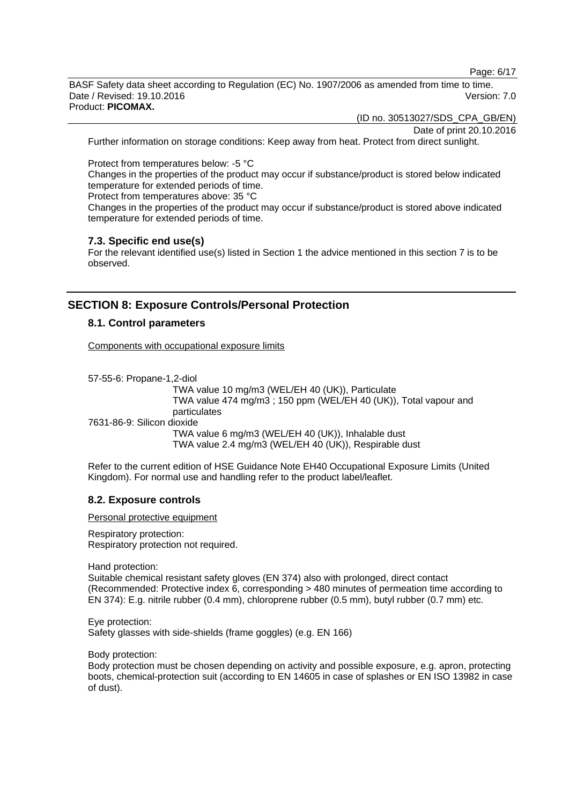Page: 6/17

BASF Safety data sheet according to Regulation (EC) No. 1907/2006 as amended from time to time. Date / Revised: 19.10.2016 **Version: 7.0** Product: **PICOMAX.**

(ID no. 30513027/SDS\_CPA\_GB/EN)

Date of print 20.10.2016

Further information on storage conditions: Keep away from heat. Protect from direct sunlight.

Protect from temperatures below: -5 °C

Changes in the properties of the product may occur if substance/product is stored below indicated temperature for extended periods of time.

Protect from temperatures above: 35 °C

Changes in the properties of the product may occur if substance/product is stored above indicated temperature for extended periods of time.

#### **7.3. Specific end use(s)**

For the relevant identified use(s) listed in Section 1 the advice mentioned in this section 7 is to be observed.

### **SECTION 8: Exposure Controls/Personal Protection**

#### **8.1. Control parameters**

Components with occupational exposure limits

57-55-6: Propane-1,2-diol TWA value 10 mg/m3 (WEL/EH 40 (UK)), Particulate TWA value 474 mg/m3 ; 150 ppm (WEL/EH 40 (UK)), Total vapour and particulates 7631-86-9: Silicon dioxide TWA value 6 mg/m3 (WEL/EH 40 (UK)), Inhalable dust TWA value 2.4 mg/m3 (WEL/EH 40 (UK)), Respirable dust

Refer to the current edition of HSE Guidance Note EH40 Occupational Exposure Limits (United Kingdom). For normal use and handling refer to the product label/leaflet.

### **8.2. Exposure controls**

Personal protective equipment

Respiratory protection: Respiratory protection not required.

Hand protection:

Suitable chemical resistant safety gloves (EN 374) also with prolonged, direct contact (Recommended: Protective index 6, corresponding > 480 minutes of permeation time according to EN 374): E.g. nitrile rubber (0.4 mm), chloroprene rubber (0.5 mm), butyl rubber (0.7 mm) etc.

Eye protection: Safety glasses with side-shields (frame goggles) (e.g. EN 166)

Body protection:

Body protection must be chosen depending on activity and possible exposure, e.g. apron, protecting boots, chemical-protection suit (according to EN 14605 in case of splashes or EN ISO 13982 in case of dust).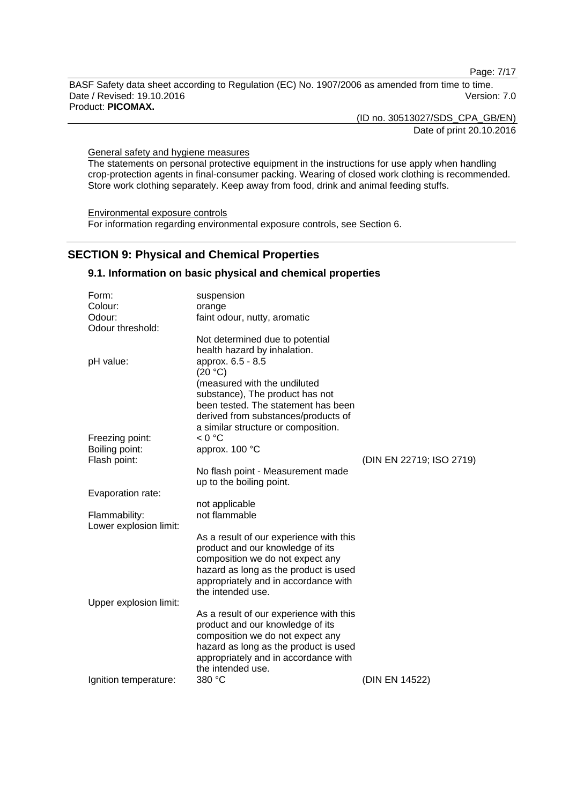Page: 7/17

BASF Safety data sheet according to Regulation (EC) No. 1907/2006 as amended from time to time. Date / Revised: 19.10.2016 Version: 7.0 Product: **PICOMAX.**

(ID no. 30513027/SDS\_CPA\_GB/EN)

Date of print 20.10.2016

General safety and hygiene measures

The statements on personal protective equipment in the instructions for use apply when handling crop-protection agents in final-consumer packing. Wearing of closed work clothing is recommended. Store work clothing separately. Keep away from food, drink and animal feeding stuffs.

Environmental exposure controls For information regarding environmental exposure controls, see Section 6.

### **SECTION 9: Physical and Chemical Properties**

#### **9.1. Information on basic physical and chemical properties**

| Form:                          | suspension                                                |                          |
|--------------------------------|-----------------------------------------------------------|--------------------------|
| Colour:                        | orange                                                    |                          |
| Odour:                         | faint odour, nutty, aromatic                              |                          |
| Odour threshold:               |                                                           |                          |
|                                | Not determined due to potential                           |                          |
|                                | health hazard by inhalation.                              |                          |
| pH value:                      | approx. 6.5 - 8.5                                         |                          |
|                                | (20 °C)                                                   |                          |
|                                | (measured with the undiluted                              |                          |
|                                | substance), The product has not                           |                          |
|                                | been tested. The statement has been                       |                          |
|                                | derived from substances/products of                       |                          |
|                                | a similar structure or composition.                       |                          |
| Freezing point:                | < 0 °C                                                    |                          |
| Boiling point:<br>Flash point: | approx. 100 °C                                            | (DIN EN 22719; ISO 2719) |
|                                | No flash point - Measurement made                         |                          |
|                                | up to the boiling point.                                  |                          |
| Evaporation rate:              |                                                           |                          |
|                                | not applicable                                            |                          |
| Flammability:                  | not flammable                                             |                          |
| Lower explosion limit:         |                                                           |                          |
|                                | As a result of our experience with this                   |                          |
|                                | product and our knowledge of its                          |                          |
|                                | composition we do not expect any                          |                          |
|                                | hazard as long as the product is used                     |                          |
|                                | appropriately and in accordance with                      |                          |
|                                | the intended use.                                         |                          |
| Upper explosion limit:         |                                                           |                          |
|                                | As a result of our experience with this                   |                          |
|                                | product and our knowledge of its                          |                          |
|                                | composition we do not expect any                          |                          |
|                                | hazard as long as the product is used                     |                          |
|                                | appropriately and in accordance with<br>the intended use. |                          |
| Ignition temperature:          | 380 °C                                                    | (DIN EN 14522)           |
|                                |                                                           |                          |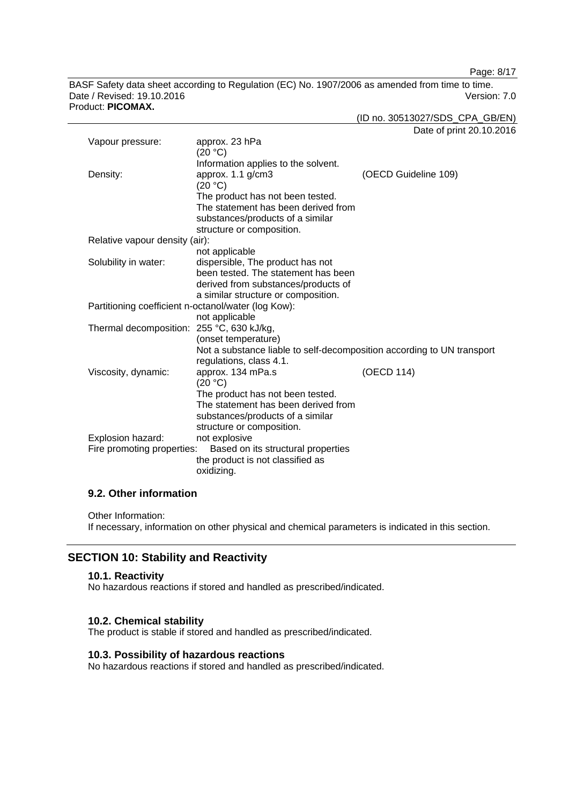Page: 8/17

BASF Safety data sheet according to Regulation (EC) No. 1907/2006 as amended from time to time. Date / Revised: 19.10.2016 Version: 7.0 Product: **PICOMAX.**

(ID no. 30513027/SDS\_CPA\_GB/EN)

Date of print 20.10.2016

| Vapour pressure:                                    | approx. 23 hPa<br>(20 °C)                                              |                      |
|-----------------------------------------------------|------------------------------------------------------------------------|----------------------|
|                                                     | Information applies to the solvent.                                    |                      |
| Density:                                            | approx. 1.1 g/cm3                                                      | (OECD Guideline 109) |
|                                                     | (20 °C)                                                                |                      |
|                                                     | The product has not been tested.                                       |                      |
|                                                     | The statement has been derived from                                    |                      |
|                                                     | substances/products of a similar                                       |                      |
|                                                     | structure or composition.                                              |                      |
| Relative vapour density (air):                      |                                                                        |                      |
|                                                     | not applicable                                                         |                      |
| Solubility in water:                                | dispersible, The product has not                                       |                      |
|                                                     | been tested. The statement has been                                    |                      |
|                                                     | derived from substances/products of                                    |                      |
|                                                     | a similar structure or composition.                                    |                      |
| Partitioning coefficient n-octanol/water (log Kow): |                                                                        |                      |
|                                                     | not applicable                                                         |                      |
| Thermal decomposition: 255 °C, 630 kJ/kg,           |                                                                        |                      |
|                                                     | (onset temperature)                                                    |                      |
|                                                     | Not a substance liable to self-decomposition according to UN transport |                      |
|                                                     | regulations, class 4.1.                                                |                      |
| Viscosity, dynamic:                                 | approx. 134 mPa.s<br>(20 °C)                                           | (OECD 114)           |
|                                                     | The product has not been tested.                                       |                      |
|                                                     | The statement has been derived from                                    |                      |
|                                                     | substances/products of a similar                                       |                      |
|                                                     | structure or composition.                                              |                      |
| Explosion hazard:                                   | not explosive                                                          |                      |
| Fire promoting properties:                          | Based on its structural properties                                     |                      |
|                                                     | the product is not classified as                                       |                      |
|                                                     | oxidizing.                                                             |                      |

### **9.2. Other information**

Other Information:

If necessary, information on other physical and chemical parameters is indicated in this section.

### **SECTION 10: Stability and Reactivity**

#### **10.1. Reactivity**

No hazardous reactions if stored and handled as prescribed/indicated.

#### **10.2. Chemical stability**

The product is stable if stored and handled as prescribed/indicated.

### **10.3. Possibility of hazardous reactions**

No hazardous reactions if stored and handled as prescribed/indicated.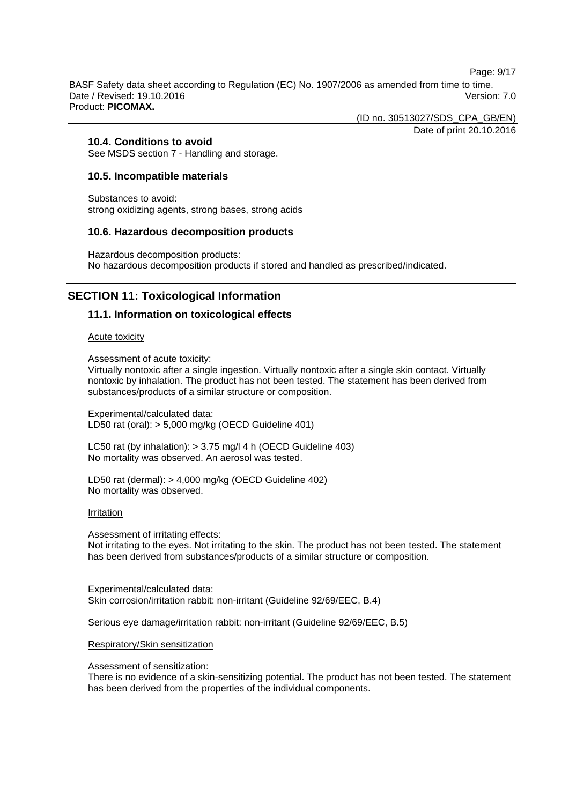Page: 9/17

BASF Safety data sheet according to Regulation (EC) No. 1907/2006 as amended from time to time. Date / Revised: 19.10.2016 **Version: 7.0** Product: **PICOMAX.**

(ID no. 30513027/SDS\_CPA\_GB/EN)

Date of print 20.10.2016

### **10.4. Conditions to avoid**

See MSDS section 7 - Handling and storage.

### **10.5. Incompatible materials**

Substances to avoid: strong oxidizing agents, strong bases, strong acids

#### **10.6. Hazardous decomposition products**

Hazardous decomposition products: No hazardous decomposition products if stored and handled as prescribed/indicated.

### **SECTION 11: Toxicological Information**

### **11.1. Information on toxicological effects**

#### Acute toxicity

Assessment of acute toxicity:

Virtually nontoxic after a single ingestion. Virtually nontoxic after a single skin contact. Virtually nontoxic by inhalation. The product has not been tested. The statement has been derived from substances/products of a similar structure or composition.

Experimental/calculated data: LD50 rat (oral): > 5,000 mg/kg (OECD Guideline 401)

LC50 rat (by inhalation): > 3.75 mg/l 4 h (OECD Guideline 403) No mortality was observed. An aerosol was tested.

LD50 rat (dermal): > 4,000 mg/kg (OECD Guideline 402) No mortality was observed.

#### Irritation

Assessment of irritating effects: Not irritating to the eyes. Not irritating to the skin. The product has not been tested. The statement has been derived from substances/products of a similar structure or composition.

Experimental/calculated data: Skin corrosion/irritation rabbit: non-irritant (Guideline 92/69/EEC, B.4)

Serious eye damage/irritation rabbit: non-irritant (Guideline 92/69/EEC, B.5)

#### Respiratory/Skin sensitization

Assessment of sensitization:

There is no evidence of a skin-sensitizing potential. The product has not been tested. The statement has been derived from the properties of the individual components.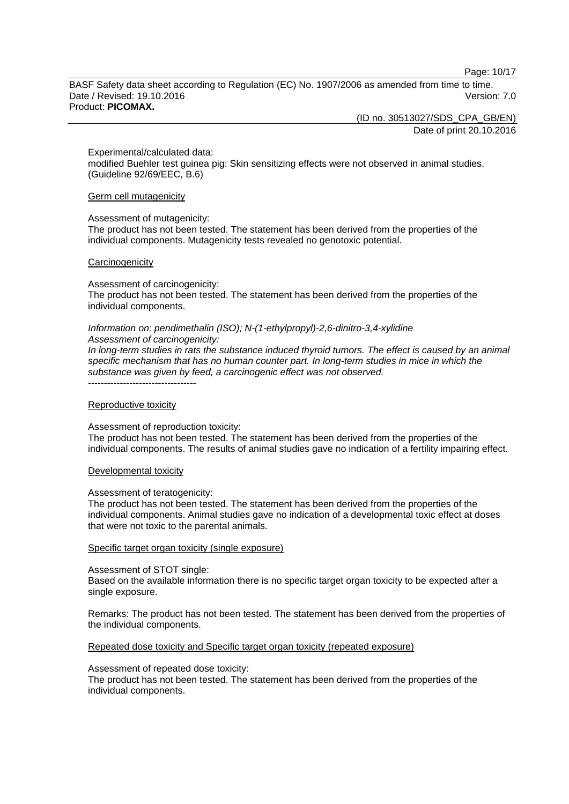Page: 10/17

BASF Safety data sheet according to Regulation (EC) No. 1907/2006 as amended from time to time. Date / Revised: 19.10.2016 Version: 7.0 Product: **PICOMAX.**

(ID no. 30513027/SDS\_CPA\_GB/EN)

Date of print 20.10.2016

Experimental/calculated data:

modified Buehler test guinea pig: Skin sensitizing effects were not observed in animal studies. (Guideline 92/69/EEC, B.6)

Germ cell mutagenicity

#### Assessment of mutagenicity:

The product has not been tested. The statement has been derived from the properties of the individual components. Mutagenicity tests revealed no genotoxic potential.

#### **Carcinogenicity**

Assessment of carcinogenicity:

The product has not been tested. The statement has been derived from the properties of the individual components.

#### *Information on: pendimethalin (ISO); N-(1-ethylpropyl)-2,6-dinitro-3,4-xylidine Assessment of carcinogenicity:*

*In long-term studies in rats the substance induced thyroid tumors. The effect is caused by an animal specific mechanism that has no human counter part. In long-term studies in mice in which the substance was given by feed, a carcinogenic effect was not observed.* ----------------------------------

#### Reproductive toxicity

Assessment of reproduction toxicity:

The product has not been tested. The statement has been derived from the properties of the individual components. The results of animal studies gave no indication of a fertility impairing effect.

#### Developmental toxicity

#### Assessment of teratogenicity:

The product has not been tested. The statement has been derived from the properties of the individual components. Animal studies gave no indication of a developmental toxic effect at doses that were not toxic to the parental animals.

#### Specific target organ toxicity (single exposure)

#### Assessment of STOT single:

Based on the available information there is no specific target organ toxicity to be expected after a single exposure.

Remarks: The product has not been tested. The statement has been derived from the properties of the individual components.

#### Repeated dose toxicity and Specific target organ toxicity (repeated exposure)

#### Assessment of repeated dose toxicity:

The product has not been tested. The statement has been derived from the properties of the individual components.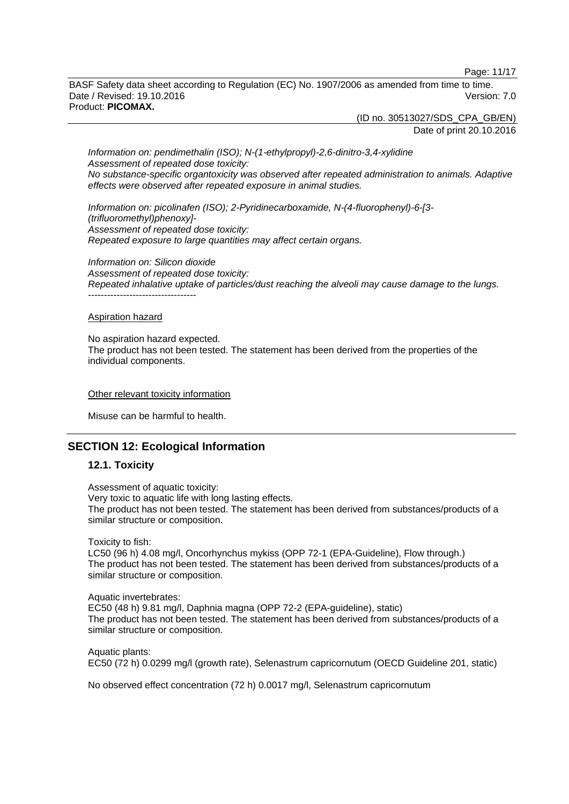Page: 11/17

BASF Safety data sheet according to Regulation (EC) No. 1907/2006 as amended from time to time. Date / Revised: 19.10.2016 **Version: 7.0** Product: **PICOMAX.**

> (ID no. 30513027/SDS\_CPA\_GB/EN) Date of print 20.10.2016

*Information on: pendimethalin (ISO); N-(1-ethylpropyl)-2,6-dinitro-3,4-xylidine Assessment of repeated dose toxicity: No substance-specific organtoxicity was observed after repeated administration to animals. Adaptive effects were observed after repeated exposure in animal studies.*

*Information on: picolinafen (ISO); 2-Pyridinecarboxamide, N-(4-fluorophenyl)-6-[3- (trifluoromethyl)phenoxy]- Assessment of repeated dose toxicity: Repeated exposure to large quantities may affect certain organs.*

*Information on: Silicon dioxide Assessment of repeated dose toxicity: Repeated inhalative uptake of particles/dust reaching the alveoli may cause damage to the lungs.* ----------------------------------

#### Aspiration hazard

No aspiration hazard expected. The product has not been tested. The statement has been derived from the properties of the individual components.

#### Other relevant toxicity information

Misuse can be harmful to health.

### **SECTION 12: Ecological Information**

#### **12.1. Toxicity**

Assessment of aquatic toxicity: Very toxic to aquatic life with long lasting effects. The product has not been tested. The statement has been derived from substances/products of a similar structure or composition.

Toxicity to fish:

LC50 (96 h) 4.08 mg/l, Oncorhynchus mykiss (OPP 72-1 (EPA-Guideline), Flow through.) The product has not been tested. The statement has been derived from substances/products of a similar structure or composition.

Aquatic invertebrates: EC50 (48 h) 9.81 mg/l, Daphnia magna (OPP 72-2 (EPA-guideline), static) The product has not been tested. The statement has been derived from substances/products of a similar structure or composition.

Aquatic plants: EC50 (72 h) 0.0299 mg/l (growth rate), Selenastrum capricornutum (OECD Guideline 201, static)

No observed effect concentration (72 h) 0.0017 mg/l, Selenastrum capricornutum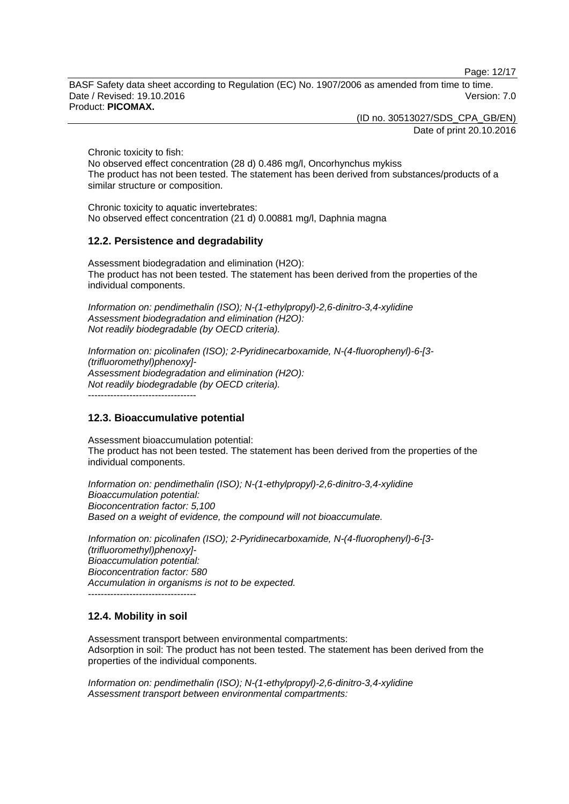Page: 12/17

BASF Safety data sheet according to Regulation (EC) No. 1907/2006 as amended from time to time. Date / Revised: 19.10.2016 **Version: 7.0** Product: **PICOMAX.**

(ID no. 30513027/SDS\_CPA\_GB/EN)

Date of print 20.10.2016

Chronic toxicity to fish:

No observed effect concentration (28 d) 0.486 mg/l, Oncorhynchus mykiss The product has not been tested. The statement has been derived from substances/products of a similar structure or composition.

Chronic toxicity to aquatic invertebrates: No observed effect concentration (21 d) 0.00881 mg/l, Daphnia magna

### **12.2. Persistence and degradability**

Assessment biodegradation and elimination (H2O): The product has not been tested. The statement has been derived from the properties of the individual components.

*Information on: pendimethalin (ISO); N-(1-ethylpropyl)-2,6-dinitro-3,4-xylidine Assessment biodegradation and elimination (H2O): Not readily biodegradable (by OECD criteria).*

*Information on: picolinafen (ISO); 2-Pyridinecarboxamide, N-(4-fluorophenyl)-6-[3- (trifluoromethyl)phenoxy]- Assessment biodegradation and elimination (H2O): Not readily biodegradable (by OECD criteria).*

----------------------------------

### **12.3. Bioaccumulative potential**

Assessment bioaccumulation potential: The product has not been tested. The statement has been derived from the properties of the individual components.

*Information on: pendimethalin (ISO); N-(1-ethylpropyl)-2,6-dinitro-3,4-xylidine Bioaccumulation potential: Bioconcentration factor: 5,100 Based on a weight of evidence, the compound will not bioaccumulate.*

*Information on: picolinafen (ISO); 2-Pyridinecarboxamide, N-(4-fluorophenyl)-6-[3- (trifluoromethyl)phenoxy]- Bioaccumulation potential: Bioconcentration factor: 580 Accumulation in organisms is not to be expected.* ----------------------------------

### **12.4. Mobility in soil**

Assessment transport between environmental compartments: Adsorption in soil: The product has not been tested. The statement has been derived from the properties of the individual components.

*Information on: pendimethalin (ISO); N-(1-ethylpropyl)-2,6-dinitro-3,4-xylidine Assessment transport between environmental compartments:*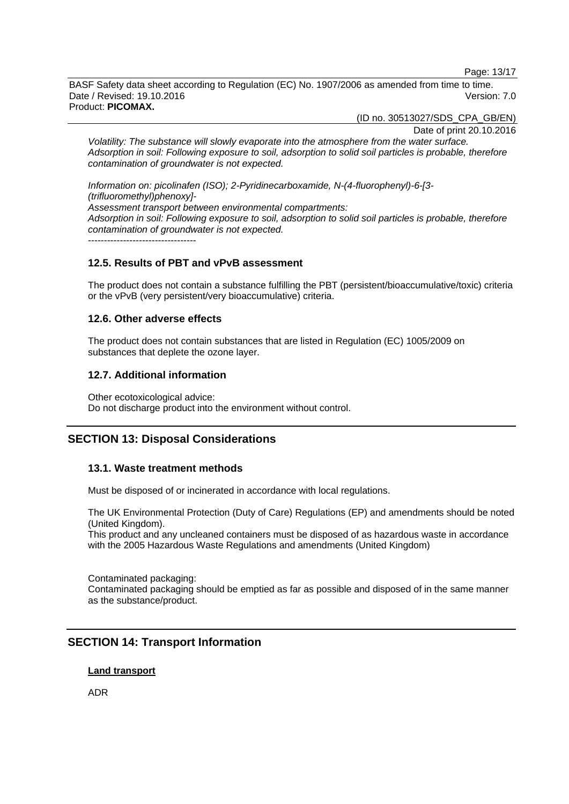Page: 13/17

BASF Safety data sheet according to Regulation (EC) No. 1907/2006 as amended from time to time. Date / Revised: 19.10.2016 Version: 7.0 Product: **PICOMAX.**

(ID no. 30513027/SDS\_CPA\_GB/EN)

Date of print 20.10.2016

*Volatility: The substance will slowly evaporate into the atmosphere from the water surface. Adsorption in soil: Following exposure to soil, adsorption to solid soil particles is probable, therefore contamination of groundwater is not expected.*

*Information on: picolinafen (ISO); 2-Pyridinecarboxamide, N-(4-fluorophenyl)-6-[3- (trifluoromethyl)phenoxy]- Assessment transport between environmental compartments: Adsorption in soil: Following exposure to soil, adsorption to solid soil particles is probable, therefore contamination of groundwater is not expected.*  $-$ 

### **12.5. Results of PBT and vPvB assessment**

The product does not contain a substance fulfilling the PBT (persistent/bioaccumulative/toxic) criteria or the vPvB (very persistent/very bioaccumulative) criteria.

#### **12.6. Other adverse effects**

The product does not contain substances that are listed in Regulation (EC) 1005/2009 on substances that deplete the ozone layer.

### **12.7. Additional information**

Other ecotoxicological advice: Do not discharge product into the environment without control.

### **SECTION 13: Disposal Considerations**

### **13.1. Waste treatment methods**

Must be disposed of or incinerated in accordance with local regulations.

The UK Environmental Protection (Duty of Care) Regulations (EP) and amendments should be noted (United Kingdom).

This product and any uncleaned containers must be disposed of as hazardous waste in accordance with the 2005 Hazardous Waste Regulations and amendments (United Kingdom)

Contaminated packaging: Contaminated packaging should be emptied as far as possible and disposed of in the same manner as the substance/product.

### **SECTION 14: Transport Information**

#### **Land transport**

ADR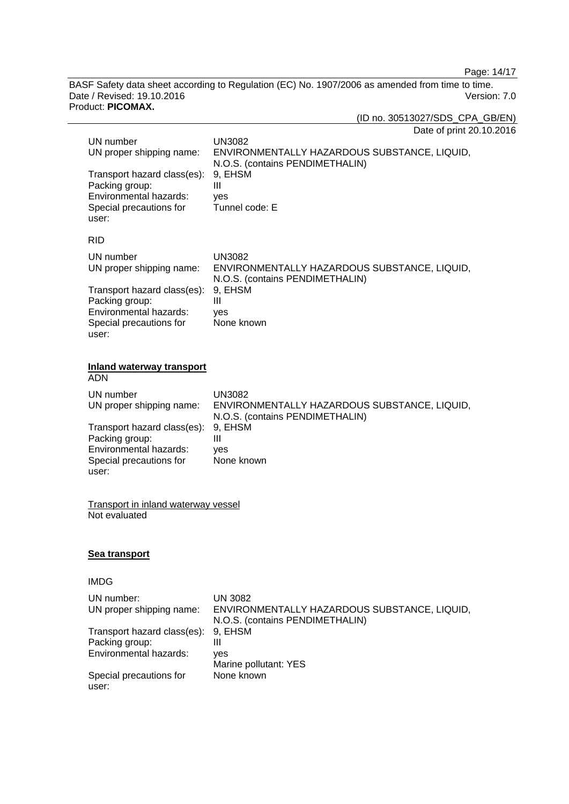Page: 14/17

BASF Safety data sheet according to Regulation (EC) No. 1907/2006 as amended from time to time. Date / Revised: 19.10.2016 Version: 7.0 Product: **PICOMAX.**

(ID no. 30513027/SDS\_CPA\_GB/EN)

| Date of print 20.10.2016 |  |  |
|--------------------------|--|--|
|--------------------------|--|--|

| UN number<br>UN proper shipping name:<br>Transport hazard class(es):<br>Packing group:<br>Environmental hazards:<br>Special precautions for<br>user: | <b>UN3082</b><br>ENVIRONMENTALLY HAZARDOUS SUBSTANCE, LIQUID,<br>N.O.S. (contains PENDIMETHALIN)<br>9, EHSM<br>III<br>yes<br>Tunnel code: E |
|------------------------------------------------------------------------------------------------------------------------------------------------------|---------------------------------------------------------------------------------------------------------------------------------------------|
| <b>RID</b>                                                                                                                                           |                                                                                                                                             |
| UN number<br>UN proper shipping name:                                                                                                                | <b>UN3082</b><br>ENVIRONMENTALLY HAZARDOUS SUBSTANCE, LIQUID,<br>N.O.S. (contains PENDIMETHALIN)                                            |
| Transport hazard class(es):<br>Packing group:<br>Environmental hazards:<br>Special precautions for<br>user:                                          | 9, EHSM<br>III<br>yes<br>None known                                                                                                         |
| <b>Inland waterway transport</b><br><b>ADN</b>                                                                                                       |                                                                                                                                             |
| UN number<br>UN proper shipping name:                                                                                                                | <b>UN3082</b><br>ENVIRONMENTALLY HAZARDOUS SUBSTANCE, LIQUID,<br>N.O.S. (contains PENDIMETHALIN)                                            |
| Transport hazard class(es):<br>Packing group:<br>Environmental hazards:<br>Special precautions for<br>user:                                          | 9, EHSM<br>III<br>yes<br>None known                                                                                                         |
| <b>Transport in inland waterway vessel</b><br>Not evaluated                                                                                          |                                                                                                                                             |
| <u>Sea transport</u>                                                                                                                                 |                                                                                                                                             |
| <b>IMDG</b>                                                                                                                                          |                                                                                                                                             |
| UN number:<br>UN proper shipping name:                                                                                                               | <b>UN 3082</b><br>ENVIRONMENTALLY HAZARDOUS SUBSTANCE, LIQUID,<br>N.O.S. (contains PENDIMETHALIN)                                           |
| Transport hazard class(es):<br>Packing group:<br>Environmental hazards:                                                                              | 9, EHSM<br>$\mathbf{III}$                                                                                                                   |
|                                                                                                                                                      | yes<br>Marine pollutant: YES                                                                                                                |
| Special precautions for<br>user:                                                                                                                     | None known                                                                                                                                  |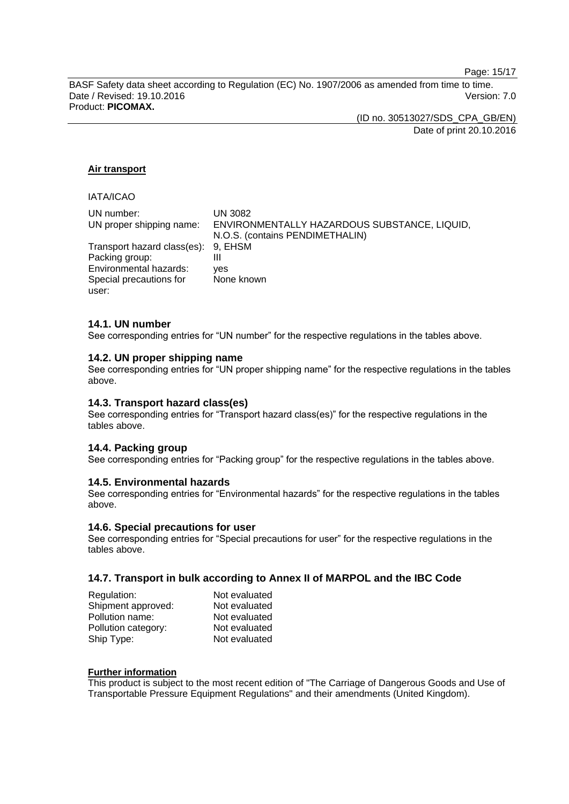Page: 15/17

BASF Safety data sheet according to Regulation (EC) No. 1907/2006 as amended from time to time. Date / Revised: 19.10.2016 **Version: 7.0** Product: **PICOMAX.**

> (ID no. 30513027/SDS\_CPA\_GB/EN) Date of print 20.10.2016

#### **Air transport**

### IATA/ICAO

| UN number:                          | UN 3082                                      |
|-------------------------------------|----------------------------------------------|
| UN proper shipping name:            | ENVIRONMENTALLY HAZARDOUS SUBSTANCE, LIQUID, |
|                                     | N.O.S. (contains PENDIMETHALIN)              |
| Transport hazard class(es): 9, EHSM |                                              |
| Packing group:                      | Ш                                            |
| Environmental hazards:              | ves                                          |
| Special precautions for             | None known                                   |
| user:                               |                                              |

#### **14.1. UN number**

See corresponding entries for "UN number" for the respective regulations in the tables above.

#### **14.2. UN proper shipping name**

See corresponding entries for "UN proper shipping name" for the respective regulations in the tables above.

#### **14.3. Transport hazard class(es)**

See corresponding entries for "Transport hazard class(es)" for the respective regulations in the tables above.

#### **14.4. Packing group**

See corresponding entries for "Packing group" for the respective regulations in the tables above.

#### **14.5. Environmental hazards**

See corresponding entries for "Environmental hazards" for the respective regulations in the tables above.

#### **14.6. Special precautions for user**

See corresponding entries for "Special precautions for user" for the respective regulations in the tables above.

#### **14.7. Transport in bulk according to Annex II of MARPOL and the IBC Code**

| Regulation:         | Not evaluated |
|---------------------|---------------|
| Shipment approved:  | Not evaluated |
| Pollution name:     | Not evaluated |
| Pollution category: | Not evaluated |
| Ship Type:          | Not evaluated |

#### **Further information**

This product is subject to the most recent edition of "The Carriage of Dangerous Goods and Use of Transportable Pressure Equipment Regulations" and their amendments (United Kingdom).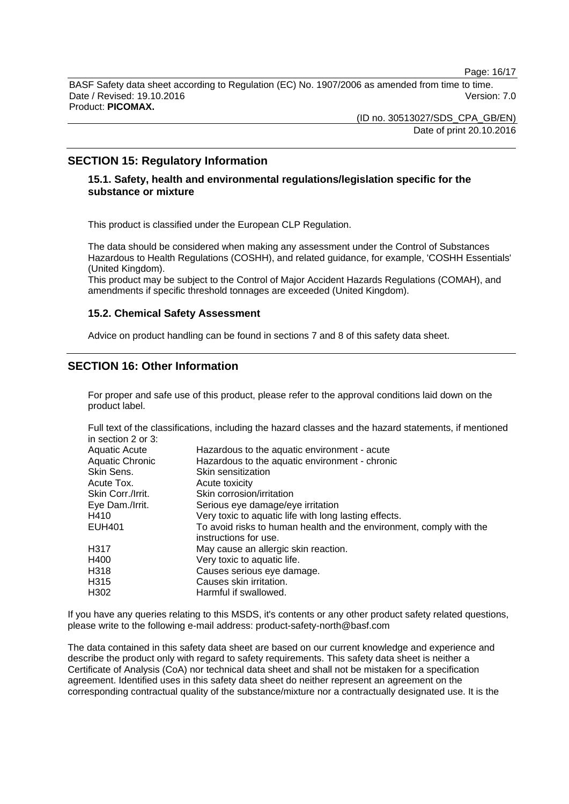Page: 16/17

BASF Safety data sheet according to Regulation (EC) No. 1907/2006 as amended from time to time. Date / Revised: 19.10.2016 Version: 7.0 Product: **PICOMAX.**

> (ID no. 30513027/SDS\_CPA\_GB/EN) Date of print 20.10.2016

### **SECTION 15: Regulatory Information**

### **15.1. Safety, health and environmental regulations/legislation specific for the substance or mixture**

This product is classified under the European CLP Regulation.

The data should be considered when making any assessment under the Control of Substances Hazardous to Health Regulations (COSHH), and related guidance, for example, 'COSHH Essentials' (United Kingdom).

This product may be subject to the Control of Major Accident Hazards Regulations (COMAH), and amendments if specific threshold tonnages are exceeded (United Kingdom).

#### **15.2. Chemical Safety Assessment**

Advice on product handling can be found in sections 7 and 8 of this safety data sheet.

### **SECTION 16: Other Information**

For proper and safe use of this product, please refer to the approval conditions laid down on the product label.

Full text of the classifications, including the hazard classes and the hazard statements, if mentioned in section 2 or 3:

| Hazardous to the aquatic environment - acute                                                 |
|----------------------------------------------------------------------------------------------|
| Hazardous to the aquatic environment - chronic                                               |
| Skin sensitization                                                                           |
| Acute toxicity                                                                               |
| Skin corrosion/irritation                                                                    |
| Serious eye damage/eye irritation                                                            |
| Very toxic to aquatic life with long lasting effects.                                        |
| To avoid risks to human health and the environment, comply with the<br>instructions for use. |
| May cause an allergic skin reaction.                                                         |
| Very toxic to aquatic life.                                                                  |
| Causes serious eye damage.                                                                   |
| Causes skin irritation.                                                                      |
| Harmful if swallowed.                                                                        |
|                                                                                              |

If you have any queries relating to this MSDS, it's contents or any other product safety related questions, please write to the following e-mail address: product-safety-north@basf.com

The data contained in this safety data sheet are based on our current knowledge and experience and describe the product only with regard to safety requirements. This safety data sheet is neither a Certificate of Analysis (CoA) nor technical data sheet and shall not be mistaken for a specification agreement. Identified uses in this safety data sheet do neither represent an agreement on the corresponding contractual quality of the substance/mixture nor a contractually designated use. It is the